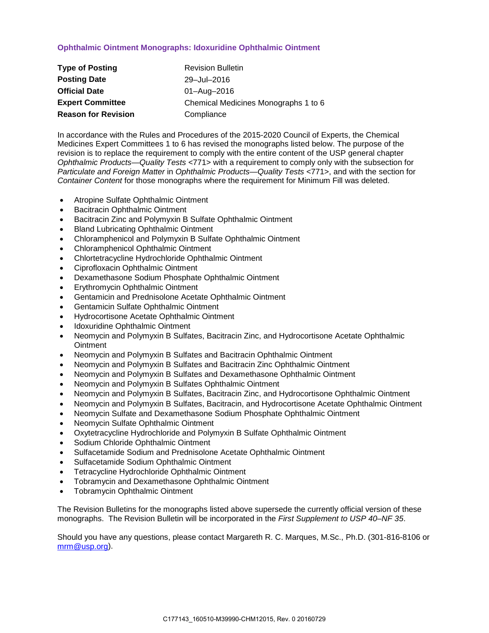# **Ophthalmic Ointment Monographs: Idoxuridine Ophthalmic Ointment**

| <b>Type of Posting</b>     | <b>Revision Bulletin</b>             |
|----------------------------|--------------------------------------|
| <b>Posting Date</b>        | 29-Jul-2016                          |
| <b>Official Date</b>       | 01-Aug-2016                          |
| <b>Expert Committee</b>    | Chemical Medicines Monographs 1 to 6 |
| <b>Reason for Revision</b> | Compliance                           |

In accordance with the Rules and Procedures of the 2015-2020 Council of Experts, the Chemical Medicines Expert Committees 1 to 6 has revised the monographs listed below. The purpose of the revision is to replace the requirement to comply with the entire content of the USP general chapter *Ophthalmic Products—Quality Tests* <771> with a requirement to comply only with the subsection for *Particulate and Foreign Matter* in *Ophthalmic Products—Quality Tests* <771>, and with the section for *Container Content* for those monographs where the requirement for Minimum Fill was deleted.

- Atropine Sulfate Ophthalmic Ointment
- Bacitracin Ophthalmic Ointment
- Bacitracin Zinc and Polymyxin B Sulfate Ophthalmic Ointment
- Bland Lubricating Ophthalmic Ointment
- Chloramphenicol and Polymyxin B Sulfate Ophthalmic Ointment
- Chloramphenicol Ophthalmic Ointment
- Chlortetracycline Hydrochloride Ophthalmic Ointment
- Ciprofloxacin Ophthalmic Ointment
- Dexamethasone Sodium Phosphate Ophthalmic Ointment
- Erythromycin Ophthalmic Ointment
- Gentamicin and Prednisolone Acetate Ophthalmic Ointment
- Gentamicin Sulfate Ophthalmic Ointment
- Hydrocortisone Acetate Ophthalmic Ointment
- Idoxuridine Ophthalmic Ointment
- Neomycin and Polymyxin B Sulfates, Bacitracin Zinc, and Hydrocortisone Acetate Ophthalmic **Ointment**
- Neomycin and Polymyxin B Sulfates and Bacitracin Ophthalmic Ointment
- Neomycin and Polymyxin B Sulfates and Bacitracin Zinc Ophthalmic Ointment
- Neomycin and Polymyxin B Sulfates and Dexamethasone Ophthalmic Ointment
- Neomycin and Polymyxin B Sulfates Ophthalmic Ointment
- Neomycin and Polymyxin B Sulfates, Bacitracin Zinc, and Hydrocortisone Ophthalmic Ointment
- Neomycin and Polymyxin B Sulfates, Bacitracin, and Hydrocortisone Acetate Ophthalmic Ointment
- Neomycin Sulfate and Dexamethasone Sodium Phosphate Ophthalmic Ointment
- Neomycin Sulfate Ophthalmic Ointment
- Oxytetracycline Hydrochloride and Polymyxin B Sulfate Ophthalmic Ointment
- Sodium Chloride Ophthalmic Ointment
- Sulfacetamide Sodium and Prednisolone Acetate Ophthalmic Ointment
- Sulfacetamide Sodium Ophthalmic Ointment
- Tetracycline Hydrochloride Ophthalmic Ointment
- Tobramycin and Dexamethasone Ophthalmic Ointment
- Tobramycin Ophthalmic Ointment

The Revision Bulletins for the monographs listed above supersede the currently official version of these monographs. The Revision Bulletin will be incorporated in the *First Supplement to USP 40–NF 35*.

Should you have any questions, please contact Margareth R. C. Marques, M.Sc., Ph.D. (301-816-8106 or [mrm@usp.org\)](mailto:mrm@usp.org).